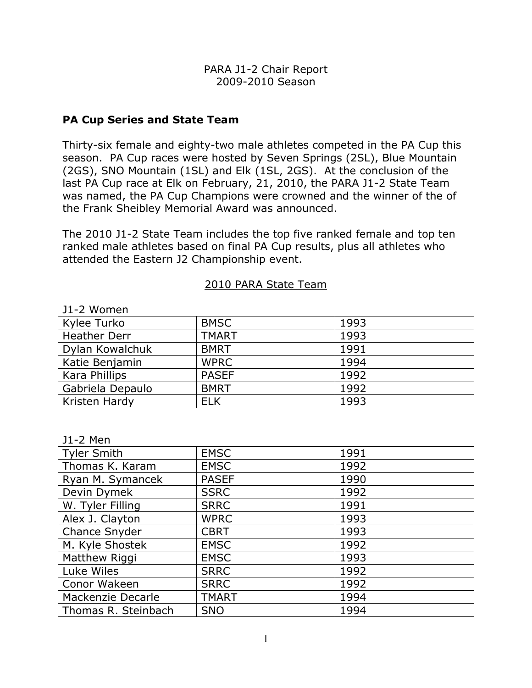### PA Cup Series and State Team

Thirty-six female and eighty-two male athletes competed in the PA Cup this season. PA Cup races were hosted by Seven Springs (2SL), Blue Mountain (2GS), SNO Mountain (1SL) and Elk (1SL, 2GS). At the conclusion of the last PA Cup race at Elk on February, 21, 2010, the PARA J1-2 State Team was named, the PA Cup Champions were crowned and the winner of the of the Frank Sheibley Memorial Award was announced.

The 2010 J1-2 State Team includes the top five ranked female and top ten ranked male athletes based on final PA Cup results, plus all athletes who attended the Eastern J2 Championship event.

#### 2010 PARA State Team

| JI-Z WOMEN       |              |      |
|------------------|--------------|------|
| Kylee Turko      | <b>BMSC</b>  | 1993 |
| Heather Derr     | <b>TMART</b> | 1993 |
| Dylan Kowalchuk  | <b>BMRT</b>  | 1991 |
| Katie Benjamin   | <b>WPRC</b>  | 1994 |
| Kara Phillips    | <b>PASEF</b> | 1992 |
| Gabriela Depaulo | <b>BMRT</b>  | 1992 |
| Kristen Hardy    | <b>ELK</b>   | 1993 |

## $J1-2$  Women

|  | Men |  |
|--|-----|--|
|  |     |  |

| ווטויו בנ           |              |      |
|---------------------|--------------|------|
| <b>Tyler Smith</b>  | <b>EMSC</b>  | 1991 |
| Thomas K. Karam     | <b>EMSC</b>  | 1992 |
| Ryan M. Symancek    | <b>PASEF</b> | 1990 |
| Devin Dymek         | <b>SSRC</b>  | 1992 |
| W. Tyler Filling    | <b>SRRC</b>  | 1991 |
| Alex J. Clayton     | <b>WPRC</b>  | 1993 |
| Chance Snyder       | <b>CBRT</b>  | 1993 |
| M. Kyle Shostek     | <b>EMSC</b>  | 1992 |
| Matthew Riggi       | <b>EMSC</b>  | 1993 |
| Luke Wiles          | <b>SRRC</b>  | 1992 |
| Conor Wakeen        | <b>SRRC</b>  | 1992 |
| Mackenzie Decarle   | <b>TMART</b> | 1994 |
| Thomas R. Steinbach | <b>SNO</b>   | 1994 |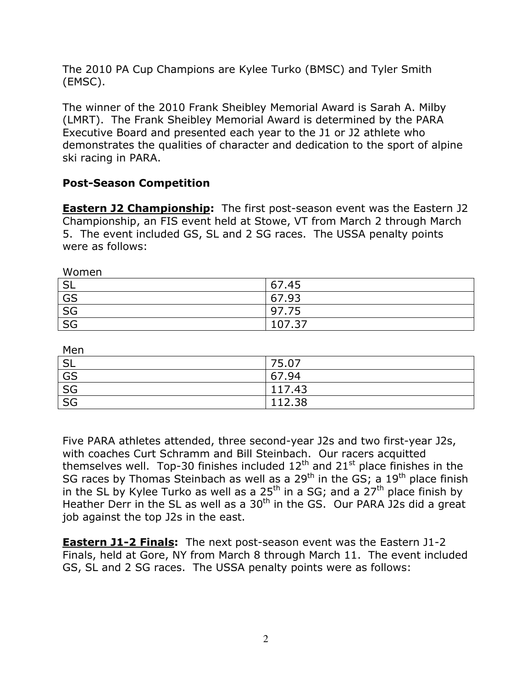The 2010 PA Cup Champions are Kylee Turko (BMSC) and Tyler Smith (EMSC).

The winner of the 2010 Frank Sheibley Memorial Award is Sarah A. Milby (LMRT). The Frank Sheibley Memorial Award is determined by the PARA Executive Board and presented each year to the J1 or J2 athlete who demonstrates the qualities of character and dedication to the sport of alpine ski racing in PARA.

# Post-Season Competition

**Eastern J2 Championship:** The first post-season event was the Eastern J2 Championship, an FIS event held at Stowe, VT from March 2 through March 5. The event included GS, SL and 2 SG races. The USSA penalty points were as follows:

| Women     |        |
|-----------|--------|
| <b>SL</b> | 67.45  |
| GS        | 67.93  |
| SG        | 97.75  |
| SG        | 107.37 |

| Men       |        |
|-----------|--------|
| <b>SL</b> | 75.07  |
| GS        | 67.94  |
| SG        | 117.43 |
| SG        | 112.38 |

Five PARA athletes attended, three second-year J2s and two first-year J2s, with coaches Curt Schramm and Bill Steinbach. Our racers acquitted themselves well. Top-30 finishes included  $12<sup>th</sup>$  and  $21<sup>st</sup>$  place finishes in the SG races by Thomas Steinbach as well as a  $29<sup>th</sup>$  in the GS; a  $19<sup>th</sup>$  place finish in the SL by Kylee Turko as well as a 25<sup>th</sup> in a SG; and a 27<sup>th</sup> place finish by Heather Derr in the SL as well as a 30<sup>th</sup> in the GS. Our PARA J2s did a great job against the top J2s in the east.

**Eastern J1-2 Finals:** The next post-season event was the Eastern J1-2 Finals, held at Gore, NY from March 8 through March 11. The event included GS, SL and 2 SG races. The USSA penalty points were as follows: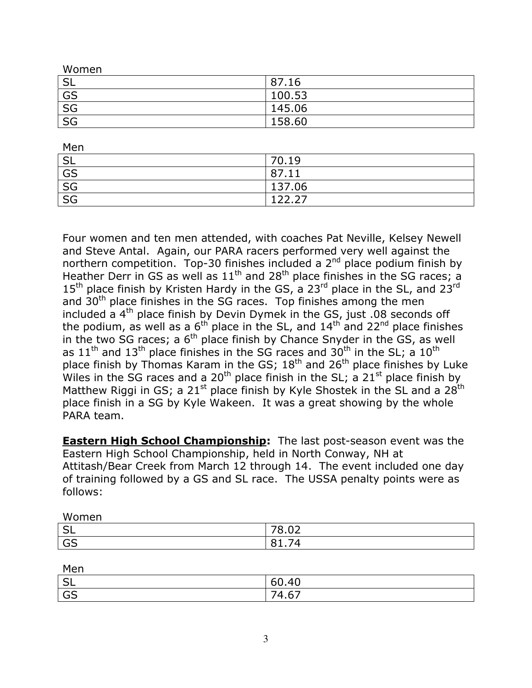| Women     |        |
|-----------|--------|
| <b>SL</b> | 87.16  |
| GS        | 100.53 |
| SG        | 145.06 |
| SG        | 158.60 |

| Men                               |        |
|-----------------------------------|--------|
| <b>SL</b>                         | 70.19  |
| GS                                | 87.11  |
| SG                                | 137.06 |
| $\overline{\overline{\text{SG}}}$ | 177.77 |

Four women and ten men attended, with coaches Pat Neville, Kelsey Newell and Steve Antal. Again, our PARA racers performed very well against the northern competition. Top-30 finishes included a  $2<sup>nd</sup>$  place podium finish by Heather Derr in GS as well as  $11<sup>th</sup>$  and  $28<sup>th</sup>$  place finishes in the SG races; a  $15<sup>th</sup>$  place finish by Kristen Hardy in the GS, a 23<sup>rd</sup> place in the SL, and 23<sup>rd</sup> and 30<sup>th</sup> place finishes in the SG races. Top finishes among the men included a  $4<sup>th</sup>$  place finish by Devin Dymek in the GS, just .08 seconds off the podium, as well as a  $6<sup>th</sup>$  place in the SL, and  $14<sup>th</sup>$  and  $22<sup>nd</sup>$  place finishes in the two SG races; a  $6<sup>th</sup>$  place finish by Chance Snyder in the GS, as well as  $11<sup>th</sup>$  and  $13<sup>th</sup>$  place finishes in the SG races and  $30<sup>th</sup>$  in the SL; a  $10<sup>th</sup>$ place finish by Thomas Karam in the GS;  $18<sup>th</sup>$  and  $26<sup>th</sup>$  place finishes by Luke Wiles in the SG races and a 20<sup>th</sup> place finish in the SL; a 21<sup>st</sup> place finish by Matthew Riggi in GS; a 21<sup>st</sup> place finish by Kyle Shostek in the SL and a 28<sup>th</sup> place finish in a SG by Kyle Wakeen. It was a great showing by the whole PARA team.

**Eastern High School Championship:** The last post-season event was the Eastern High School Championship, held in North Conway, NH at Attitash/Bear Creek from March 12 through 14. The event included one day of training followed by a GS and SL race. The USSA penalty points were as follows:

| Women                        |                                        |
|------------------------------|----------------------------------------|
| $\mathsf{C}^{\dagger}$<br>⊃∟ | $\sim$<br>$\neg$<br><u>v.vz</u>        |
| GS                           | $\sim$<br>O 1<br>۰4<br><b>. .</b><br>u |

| Men       |       |
|-----------|-------|
| <b>SL</b> | 60.40 |
| GS        | 74.67 |